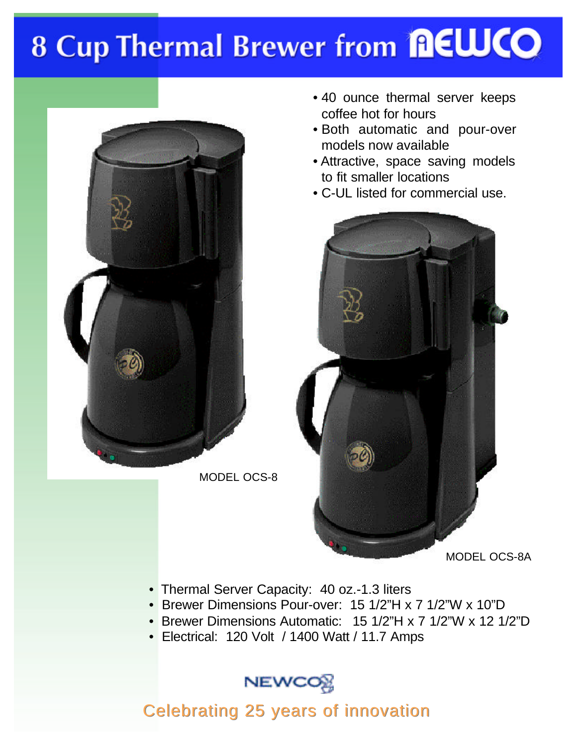# 8 Cup Thermal Brewer from **AEWCO**



- 40 ounce thermal server keeps coffee hot for hours
- Both automatic and pour-over models now available
- Attractive, space saving models to fit smaller locations
- C-UL listed for commercial use.



MODEL OCS-8A

- Thermal Server Capacity: 40 oz.-1.3 liters
- Brewer Dimensions Pour-over: 15 1/2"H x 7 1/2"W x 10"D
- Brewer Dimensions Automatic: 15 1/2"H x 7 1/2"W x 12 1/2"D
- Electrical: 120 Volt / 1400 Watt / 11.7 Amps

NEWCOO

Celebrating 25 years of innovation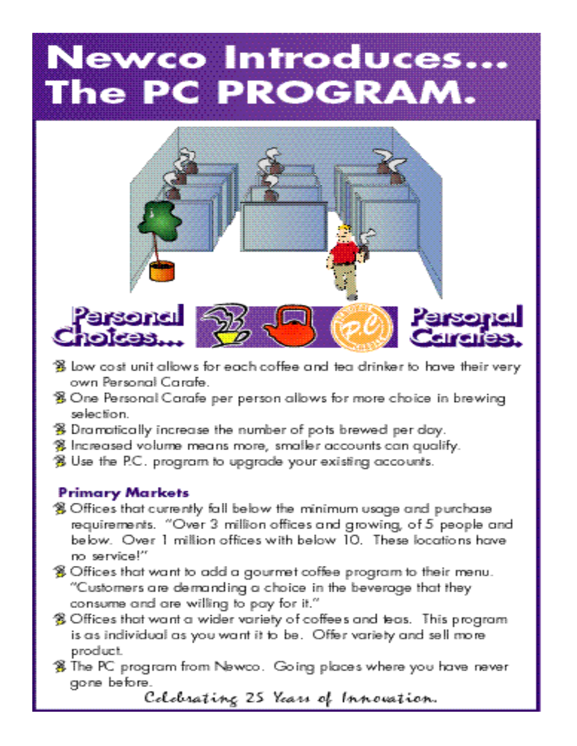# Newco Introduces... The PC PROGRAM.



- g low cost unit allows for each coffee and tea drinker to have their very own Personal Carafe.
- 38 One Personal Carafe per person allows for more choice in brewing selection..
- 多 Dramatically increase the number of pots brewed per day.
- 第 Increased volume means more, smaller accounts can qualify.
- <sup>2</sup> Use the P.C. program to upgrade your existing accounts.

## **Primary Markets**

- 第 Offices that currently fall below the minimum usage and purchase requirements. "Over 3 million offices and growing, of 5 people and below. Over 1 million offices with below 10. These locations have no service!"
- 第 Offices that want to add a gournet coffee program to their menu. "Customers are demanding a choice in the beverage that they consume and are willing to pay for it."
- 第 Offices that want a wider variety of coffees and teas. This program is as individual as you want it to be. Offer variety and sell more product.
- 第 The PC program from Newco. Going places where you have never gone before.

Colobrating 25 Years of Innovation.